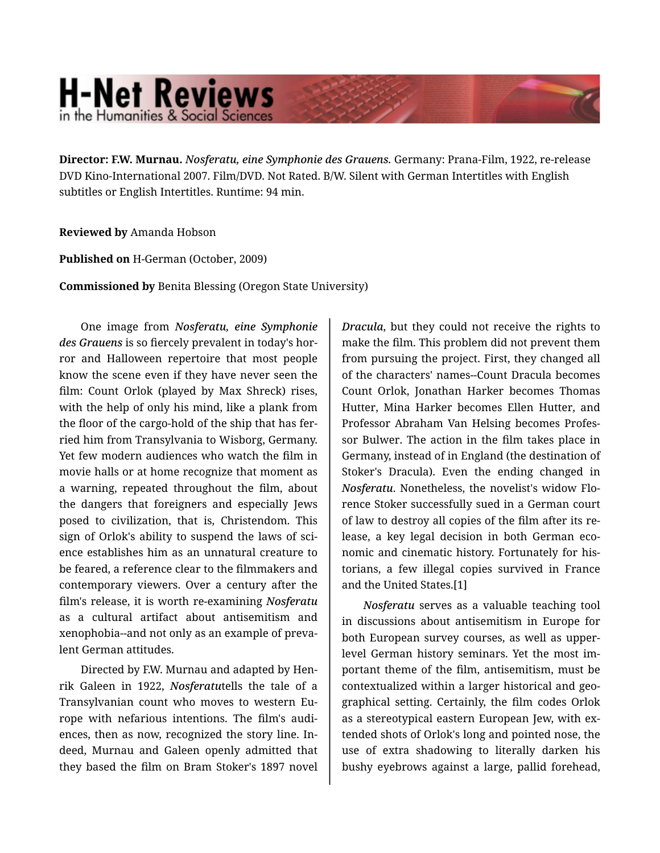## **H-Net Reviews** in the Humanities & Social Scienc

**Director: F.W. Murnau.** *Nosferatu, eine Symphonie des Grauens.* Germany: Prana-Film, 1922, re-release DVD Kino-International 2007. Film/DVD. Not Rated. B/W. Silent with German Intertitles with English subtitles or English Intertitles. Runtime: 94 min.

## **Reviewed by** Amanda Hobson

**Published on** H-German (October, 2009)

**Commissioned by** Benita Blessing (Oregon State University)

One image from *Nosferatu, eine Symphonie des Grauens* is so fiercely prevalent in today's hor‐ ror and Halloween repertoire that most people know the scene even if they have never seen the film: Count Orlok (played by Max Shreck) rises, with the help of only his mind, like a plank from the floor of the cargo-hold of the ship that has fer‐ ried him from Transylvania to Wisborg, Germany. Yet few modern audiences who watch the film in movie halls or at home recognize that moment as a warning, repeated throughout the film, about the dangers that foreigners and especially Jews posed to civilization, that is, Christendom. This sign of Orlok's ability to suspend the laws of sci‐ ence establishes him as an unnatural creature to be feared, a reference clear to the filmmakers and contemporary viewers. Over a century after the film's release, it is worth re-examining *Nosferatu* as a cultural artifact about antisemitism and xenophobia--and not only as an example of preva‐ lent German attitudes.

Directed by F.W. Murnau and adapted by Hen‐ rik Galeen in 1922, *Nosferatu*tells the tale of a Transylvanian count who moves to western Eu‐ rope with nefarious intentions. The film's audi‐ ences, then as now, recognized the story line. In‐ deed, Murnau and Galeen openly admitted that they based the film on Bram Stoker's 1897 novel

*Dracula*, but they could not receive the rights to make the film. This problem did not prevent them from pursuing the project. First, they changed all of the characters' names--Count Dracula becomes Count Orlok, Jonathan Harker becomes Thomas Hutter, Mina Harker becomes Ellen Hutter, and Professor Abraham Van Helsing becomes Profes‐ sor Bulwer. The action in the film takes place in Germany, instead of in England (the destination of Stoker's Dracula). Even the ending changed in *Nosferatu*. Nonetheless, the novelist's widow Flo‐ rence Stoker successfully sued in a German court of law to destroy all copies of the film after its re‐ lease, a key legal decision in both German eco‐ nomic and cinematic history. Fortunately for his‐ torians, a few illegal copies survived in France and the United States.[1]

*Nosferatu* serves as a valuable teaching tool in discussions about antisemitism in Europe for both European survey courses, as well as upperlevel German history seminars. Yet the most im‐ portant theme of the film, antisemitism, must be contextualized within a larger historical and geo‐ graphical setting. Certainly, the film codes Orlok as a stereotypical eastern European Jew, with ex‐ tended shots of Orlok's long and pointed nose, the use of extra shadowing to literally darken his bushy eyebrows against a large, pallid forehead,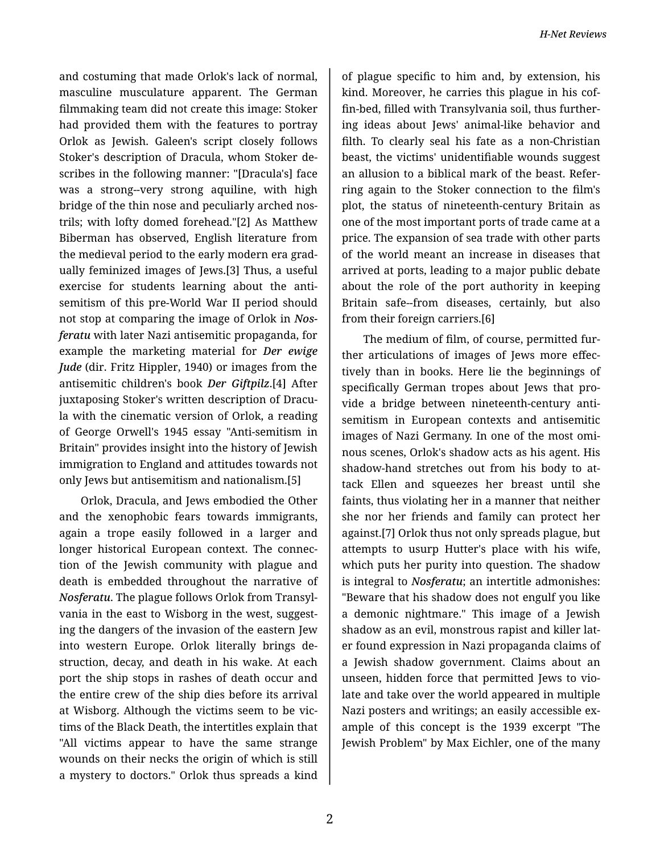and costuming that made Orlok's lack of normal, masculine musculature apparent. The German filmmaking team did not create this image: Stoker had provided them with the features to portray Orlok as Jewish. Galeen's script closely follows Stoker's description of Dracula, whom Stoker de‐ scribes in the following manner: "[Dracula's] face was a strong--very strong aquiline, with high bridge of the thin nose and peculiarly arched nos‐ trils; with lofty domed forehead."[2] As Matthew Biberman has observed, English literature from the medieval period to the early modern era grad‐ ually feminized images of Jews.[3] Thus, a useful exercise for students learning about the antisemitism of this pre-World War II period should not stop at comparing the image of Orlok in *Nos‐ feratu* with later Nazi antisemitic propaganda, for example the marketing material for *Der ewige Jude* (dir. Fritz Hippler, 1940) or images from the antisemitic children's book *Der Giftpilz*.[4] After juxtaposing Stoker's written description of Dracu‐ la with the cinematic version of Orlok, a reading of George Orwell's 1945 essay "Anti-semitism in Britain" provides insight into the history of Jewish immigration to England and attitudes towards not only Jews but antisemitism and nationalism.[5]

Orlok, Dracula, and Jews embodied the Other and the xenophobic fears towards immigrants, again a trope easily followed in a larger and longer historical European context. The connec‐ tion of the Jewish community with plague and death is embedded throughout the narrative of *Nosferatu*. The plague follows Orlok from Transyl‐ vania in the east to Wisborg in the west, suggest‐ ing the dangers of the invasion of the eastern Jew into western Europe. Orlok literally brings de‐ struction, decay, and death in his wake. At each port the ship stops in rashes of death occur and the entire crew of the ship dies before its arrival at Wisborg. Although the victims seem to be vic‐ tims of the Black Death, the intertitles explain that "All victims appear to have the same strange wounds on their necks the origin of which is still a mystery to doctors." Orlok thus spreads a kind

of plague specific to him and, by extension, his kind. Moreover, he carries this plague in his cof‐ fin-bed, filled with Transylvania soil, thus further‐ ing ideas about Jews' animal-like behavior and filth. To clearly seal his fate as a non-Christian beast, the victims' unidentifiable wounds suggest an allusion to a biblical mark of the beast. Refer‐ ring again to the Stoker connection to the film's plot, the status of nineteenth-century Britain as one of the most important ports of trade came at a price. The expansion of sea trade with other parts of the world meant an increase in diseases that arrived at ports, leading to a major public debate about the role of the port authority in keeping Britain safe--from diseases, certainly, but also from their foreign carriers.[6]

The medium of film, of course, permitted fur‐ ther articulations of images of Jews more effec‐ tively than in books. Here lie the beginnings of specifically German tropes about Jews that pro‐ vide a bridge between nineteenth-century anti‐ semitism in European contexts and antisemitic images of Nazi Germany. In one of the most omi‐ nous scenes, Orlok's shadow acts as his agent. His shadow-hand stretches out from his body to at‐ tack Ellen and squeezes her breast until she faints, thus violating her in a manner that neither she nor her friends and family can protect her against.[7] Orlok thus not only spreads plague, but attempts to usurp Hutter's place with his wife, which puts her purity into question. The shadow is integral to *Nosferatu*; an intertitle admonishes: "Beware that his shadow does not engulf you like a demonic nightmare." This image of a Jewish shadow as an evil, monstrous rapist and killer lat‐ er found expression in Nazi propaganda claims of a Jewish shadow government. Claims about an unseen, hidden force that permitted Jews to vio‐ late and take over the world appeared in multiple Nazi posters and writings; an easily accessible ex‐ ample of this concept is the 1939 excerpt "The Jewish Problem" by Max Eichler, one of the many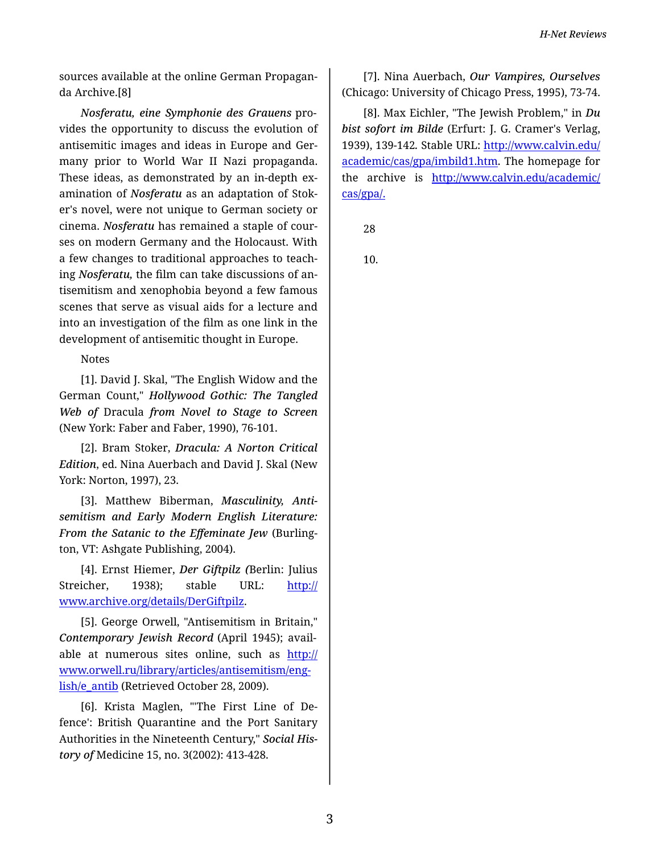sources available at the online German Propagan‐ da Archive.[8]

*Nosferatu, eine Symphonie des Grauens* pro‐ vides the opportunity to discuss the evolution of antisemitic images and ideas in Europe and Ger‐ many prior to World War II Nazi propaganda. These ideas, as demonstrated by an in-depth ex‐ amination of *Nosferatu* as an adaptation of Stok‐ er's novel, were not unique to German society or cinema. *Nosferatu* has remained a staple of cour‐ ses on modern Germany and the Holocaust. With a few changes to traditional approaches to teach‐ ing *Nosferatu,* the film can take discussions of an‐ tisemitism and xenophobia beyond a few famous scenes that serve as visual aids for a lecture and into an investigation of the film as one link in the development of antisemitic thought in Europe.

Notes

[1]. David J. Skal, "The English Widow and the German Count," *Hollywood Gothic: The Tangled Web of* Dracula *from Novel to Stage to Screen* (New York: Faber and Faber, 1990), 76-101.

[2]. Bram Stoker, *Dracula: A Norton Critical Edition*, ed. Nina Auerbach and David J. Skal (New York: Norton, 1997), 23.

[3]. Matthew Biberman, *Masculinity, Antisemitism and Early Modern English Literature: From the Satanic to the Effeminate Jew* (Burling‐ ton, VT: Ashgate Publishing, 2004).

[4]. Ernst Hiemer, *Der Giftpilz (*Berlin: Julius Streicher, 1938); stable URL: [http://](http://www.archive.org/details/DerGiftpilz) [www.archive.org/details/DerGiftpilz.](http://www.archive.org/details/DerGiftpilz)

[5]. George Orwell, "Antisemitism in Britain," *Contemporary Jewish Record* (April 1945); avail‐ able at numerous sites online, such as [http://](http://www.orwell.ru/library/articles/antisemitism/english/e_antib) [www.orwell.ru/library/articles/antisemitism/eng](http://www.orwell.ru/library/articles/antisemitism/english/e_antib)‐ [lish/e\\_antib](http://www.orwell.ru/library/articles/antisemitism/english/e_antib) (Retrieved October 28, 2009).

[6]. Krista Maglen, "'The First Line of De‐ fence': British Quarantine and the Port Sanitary Authorities in the Nineteenth Century," *Social His‐ tory of* Medicine 15, no. 3(2002): 413-428.

[7]. Nina Auerbach, *Our Vampires, Ourselves* (Chicago: University of Chicago Press, 1995), 73-74.

[8]. Max Eichler, "The Jewish Problem," in *Du bist sofort im Bilde* (Erfurt: J. G. Cramer's Verlag, 1939), 139-142*.* Stable URL: [http://www.calvin.edu/](http://www.calvin.edu/academic/cas/gpa/imbild1.htm) [academic/cas/gpa/imbild1.htm.](http://www.calvin.edu/academic/cas/gpa/imbild1.htm) The homepage for the archive is [http://www.calvin.edu/academic/](http://www.calvin.edu/academic/cas/gpa/) [cas/gpa/.](http://www.calvin.edu/academic/cas/gpa/)

28

10.